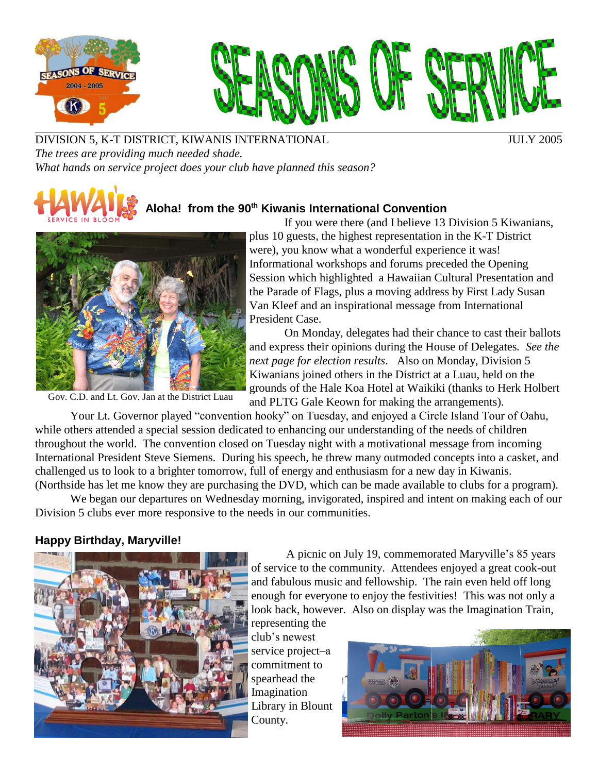



DIVISION 5, K-T DISTRICT, KIWANIS INTERNATIONAL JULY 2005 *The trees are providing much needed shade. What hands on service project does your club have planned this season?*

# **Aloha! from the 90 th Kiwanis International Convention**



Gov. C.D. and Lt. Gov. Jan at the District Luau

If you were there (and I believe 13 Division 5 Kiwanians, plus 10 guests, the highest representation in the K-T District were), you know what a wonderful experience it was! Informational workshops and forums preceded the Opening Session which highlighted a Hawaiian Cultural Presentation and the Parade of Flags, plus a moving address by First Lady Susan Van Kleef and an inspirational message from International President Case.

On Monday, delegates had their chance to cast their ballots and express their opinions during the House of Delegates*. See the next page for election results*. Also on Monday, Division 5 Kiwanians joined others in the District at a Luau, held on the grounds of the Hale Koa Hotel at Waikiki (thanks to Herk Holbert and PLTG Gale Keown for making the arrangements).

Your Lt. Governor played "convention hooky" on Tuesday, and enjoyed a Circle Island Tour of Oahu, while others attended a special session dedicated to enhancing our understanding of the needs of children throughout the world. The convention closed on Tuesday night with a motivational message from incoming International President Steve Siemens. During his speech, he threw many outmoded concepts into a casket, and challenged us to look to a brighter tomorrow, full of energy and enthusiasm for a new day in Kiwanis. (Northside has let me know they are purchasing the DVD, which can be made available to clubs for a program).

We began our departures on Wednesday morning, invigorated, inspired and intent on making each of our Division 5 clubs ever more responsive to the needs in our communities.

## **Happy Birthday, Maryville!**



A picnic on July 19, commemorated Maryville's 85 years of service to the community. Attendees enjoyed a great cook-out and fabulous music and fellowship. The rain even held off long enough for everyone to enjoy the festivities! This was not only a look back, however. Also on display was the Imagination Train, representing the

club's newest service project-a commitment to spearhead the Imagination Library in Blount County.

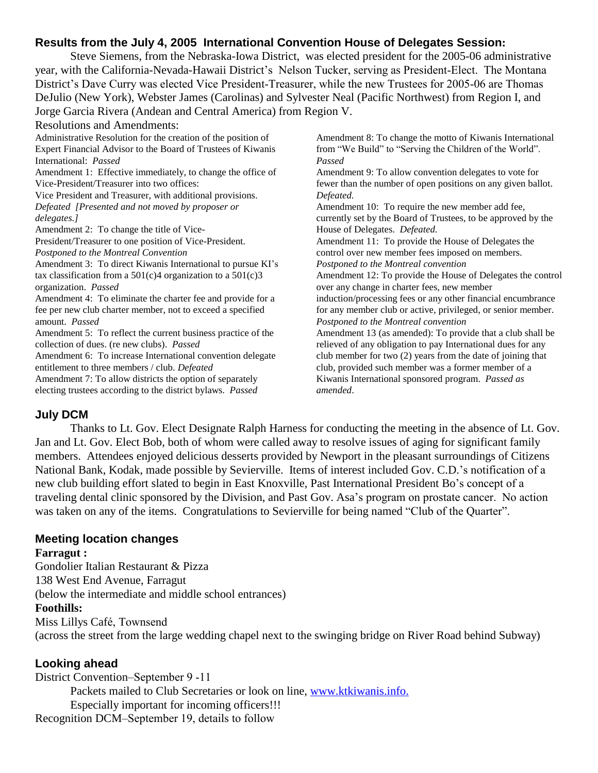## **Results from the July 4, 2005 International Convention House of Delegates Session:**

Steve Siemens, from the Nebraska-Iowa District, was elected president for the 2005-06 administrative year, with the California-Nevada-Hawaii District's Nelson Tucker, serving as President-Elect. The Montana District's Dave Curry was elected Vice President-Treasurer, while the new Trustees for 2005-06 are Thomas DeJulio (New York), Webster James (Carolinas) and Sylvester Neal (Pacific Northwest) from Region I, and Jorge Garcia Rivera (Andean and Central America) from Region V.

Resolutions and Amendments:

Administrative Resolution for the creation of the position of Expert Financial Advisor to the Board of Trustees of Kiwanis International: *Passed* Amendment 1: Effective immediately, to change the office of

Vice-President/Treasurer into two offices:

Vice President and Treasurer, with additional provisions. *Defeated [Presented and not moved by proposer or delegates.]*

Amendment 2: To change the title of Vice-

President/Treasurer to one position of Vice-President. *Postponed to the Montreal Convention*

Amendment 3: To direct Kiwanis International to pursue KI's tax classification from a  $501(c)4$  organization to a  $501(c)3$ organization. *Passed*

Amendment 4: To eliminate the charter fee and provide for a fee per new club charter member, not to exceed a specified amount. *Passed*

Amendment 5: To reflect the current business practice of the collection of dues. (re new clubs). *Passed*

Amendment 6: To increase International convention delegate entitlement to three members / club. *Defeated*

Amendment 7: To allow districts the option of separately electing trustees according to the district bylaws. *Passed* Amendment 8: To change the motto of Kiwanis International from "We Build" to "Serving the Children of the World". *Passed*

Amendment 9: To allow convention delegates to vote for fewer than the number of open positions on any given ballot. *Defeated.*

Amendment 10: To require the new member add fee, currently set by the Board of Trustees, to be approved by the House of Delegates. *Defeated.* Amendment 11: To provide the House of Delegates the

control over new member fees imposed on members.

*Postponed to the Montreal convention* Amendment 12: To provide the House of Delegates the control over any change in charter fees, new member induction/processing fees or any other financial encumbrance for any member club or active, privileged, or senior member.

*Postponed to the Montreal convention* Amendment 13 (as amended): To provide that a club shall be

relieved of any obligation to pay International dues for any club member for two (2) years from the date of joining that club, provided such member was a former member of a Kiwanis International sponsored program. *Passed as amended*.

#### **July DCM**

Thanks to Lt. Gov. Elect Designate Ralph Harness for conducting the meeting in the absence of Lt. Gov. Jan and Lt. Gov. Elect Bob, both of whom were called away to resolve issues of aging for significant family members. Attendees enjoyed delicious desserts provided by Newport in the pleasant surroundings of Citizens National Bank, Kodak, made possible by Sevierville. Items of interest included Gov. C.D.'s notification of a new club building effort slated to begin in East Knoxville, Past International President Bo's concept of a traveling dental clinic sponsored by the Division, and Past Gov. Asa's program on prostate cancer. No action was taken on any of the items. Congratulations to Sevierville for being named "Club of the Quarter".

## **Meeting location changes**

#### **Farragut :**

Gondolier Italian Restaurant & Pizza 138 West End Avenue, Farragut (below the intermediate and middle school entrances) **Foothills:** Miss Lillys CafÈ, Townsend (across the street from the large wedding chapel next to the swinging bridge on River Road behind Subway)

## **Looking ahead**

District Convention–September 9 -11 Packets mailed to Club Secretaries or look on line, [www.ktkiwanis.info.](http://www.ktkiwanis.info.) Especially important for incoming officers!!! Recognition DCM–September 19, details to follow